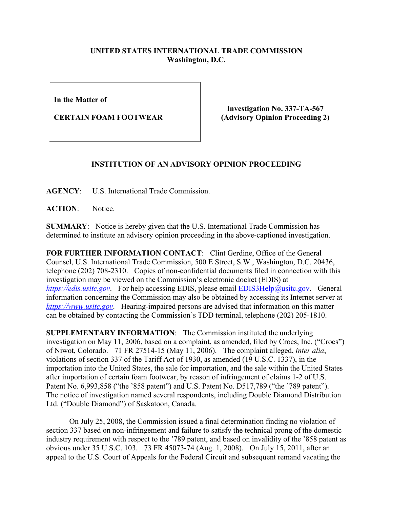## **UNITED STATES INTERNATIONAL TRADE COMMISSION Washington, D.C.**

**In the Matter of** 

**CERTAIN FOAM FOOTWEAR**

**Investigation No. 337-TA-567 (Advisory Opinion Proceeding 2)**

## **INSTITUTION OF AN ADVISORY OPINION PROCEEDING**

**AGENCY**: U.S. International Trade Commission.

**ACTION**: Notice.

**SUMMARY**: Notice is hereby given that the U.S. International Trade Commission has determined to institute an advisory opinion proceeding in the above-captioned investigation.

**FOR FURTHER INFORMATION CONTACT**: Clint Gerdine, Office of the General Counsel, U.S. International Trade Commission, 500 E Street, S.W., Washington, D.C. 20436, telephone (202) 708-2310. Copies of non-confidential documents filed in connection with this investigation may be viewed on the Commission's electronic docket (EDIS) at *[https://edis.usitc.gov](https://edis.usitc.gov/).* For help accessing EDIS, please email **EDIS3Help@usitc.gov**. General information concerning the Commission may also be obtained by accessing its Internet server at *[https://www.usitc.gov](https://www.usitc.gov/)*. Hearing-impaired persons are advised that information on this matter can be obtained by contacting the Commission's TDD terminal, telephone (202) 205-1810.

**SUPPLEMENTARY INFORMATION**: The Commission instituted the underlying investigation on May 11, 2006, based on a complaint, as amended, filed by Crocs, Inc. ("Crocs") of Niwot, Colorado. 71 FR 27514-15 (May 11, 2006). The complaint alleged, *inter alia*, violations of section 337 of the Tariff Act of 1930, as amended (19 U.S.C. 1337), in the importation into the United States, the sale for importation, and the sale within the United States after importation of certain foam footwear, by reason of infringement of claims 1-2 of U.S. Patent No. 6,993,858 ("the '858 patent") and U.S. Patent No. D517,789 ("the '789 patent"). The notice of investigation named several respondents, including Double Diamond Distribution Ltd. ("Double Diamond") of Saskatoon, Canada.

On July 25, 2008, the Commission issued a final determination finding no violation of section 337 based on non-infringement and failure to satisfy the technical prong of the domestic industry requirement with respect to the '789 patent, and based on invalidity of the '858 patent as obvious under 35 U.S.C. 103. 73 FR 45073-74 (Aug. 1, 2008). On July 15, 2011, after an appeal to the U.S. Court of Appeals for the Federal Circuit and subsequent remand vacating the